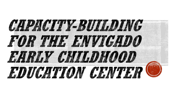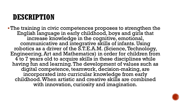#### **DESCRIPTION**

The training in civic competences proposes to strengthen the English language in early childhood, boys and girls that increase knowledge in the cognitive, emotional, communicative and integrative skills of infants. Using robotics as a driver of the S.T.E.A.M. (Science, Technology, Engineering, Art and Mathematics) in order for children from 4 to 7 years old to acquire skills in these disciplines while having fun and learning. The development of values such as digital competence, teamwork, decision-making, are incorporated into curricular knowledge from early childhood. When artistic and creative skills are combined with innovation, curiosity and imagination.

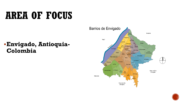# **AREA OF FOCUS**

#### **Envigado, Antioquia-Colombia**



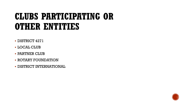## **CLUBS PARTICIPATING OR OTHER ENTITIES**

- DISTRICT 4271
- LOCAL CLUB
- PARTNER CLUB
- **ROTARY FOUNDATION**
- **DISTRICT INTERNATIONAL**

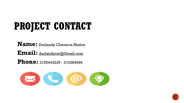# **PROJECT CONTACT**

**Name:** Durlandy Chaverra Muñoz

**Email:** durlandycm@Gmail.com

**Phone:** 3155443239 - <sup>310384669</sup>



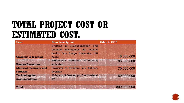## **TOTAL PROJECT COST OR ESTIMATED COST**

| <b>Item</b>                               | <b>Item description</b>                                                                                       | <b>Value in COP</b> |
|-------------------------------------------|---------------------------------------------------------------------------------------------------------------|---------------------|
| <b>Training 10 teachers</b>               | Diploma in Neuroeducation and<br>emotion management for mental<br>health, Luis Amigó University, 180<br>hours | 15.000.000          |
| <b>Human Resources</b>                    | Professional operators of training<br>activities                                                              | 65.000.000          |
| <b>Material resources and</b><br>software | Provision of furniture and fixtures,<br>licenses                                                              | 70.000.000          |
| <b>Technology for</b><br>implementation   | 10 laptop, 5 desktop pc, 2 audiovisual<br><b>TV</b>                                                           | 50.000.000          |
| <b>Total</b>                              |                                                                                                               | 200.000.000         |

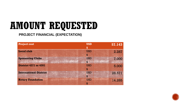# **AMOUNT REQUESTED**

#### **PROJECT FINANCIAL (EXPECTATION)**

| <b>Project cost</b>           | <b>USD</b>                | 57.143 |
|-------------------------------|---------------------------|--------|
|                               |                           |        |
| <b>Local club</b>             | <b>USD</b>                | 2.287  |
|                               | $\boldsymbol{\mathsf{S}}$ |        |
| <b>Sponsoring Clubs</b>       | <b>USD</b>                | 7.000  |
|                               | 4                         |        |
| <b>District 4271 or 4281</b>  | <b>USD</b>                | 5.000  |
|                               | $\mathbf{3}$              |        |
| <b>International District</b> | <b>USD</b>                | 28.571 |
|                               | $\mathbf{s}$              |        |
| <b>Rotary Foundation</b>      | <b>USD</b>                | 14.285 |
|                               | $\mathbf{\$}$             |        |